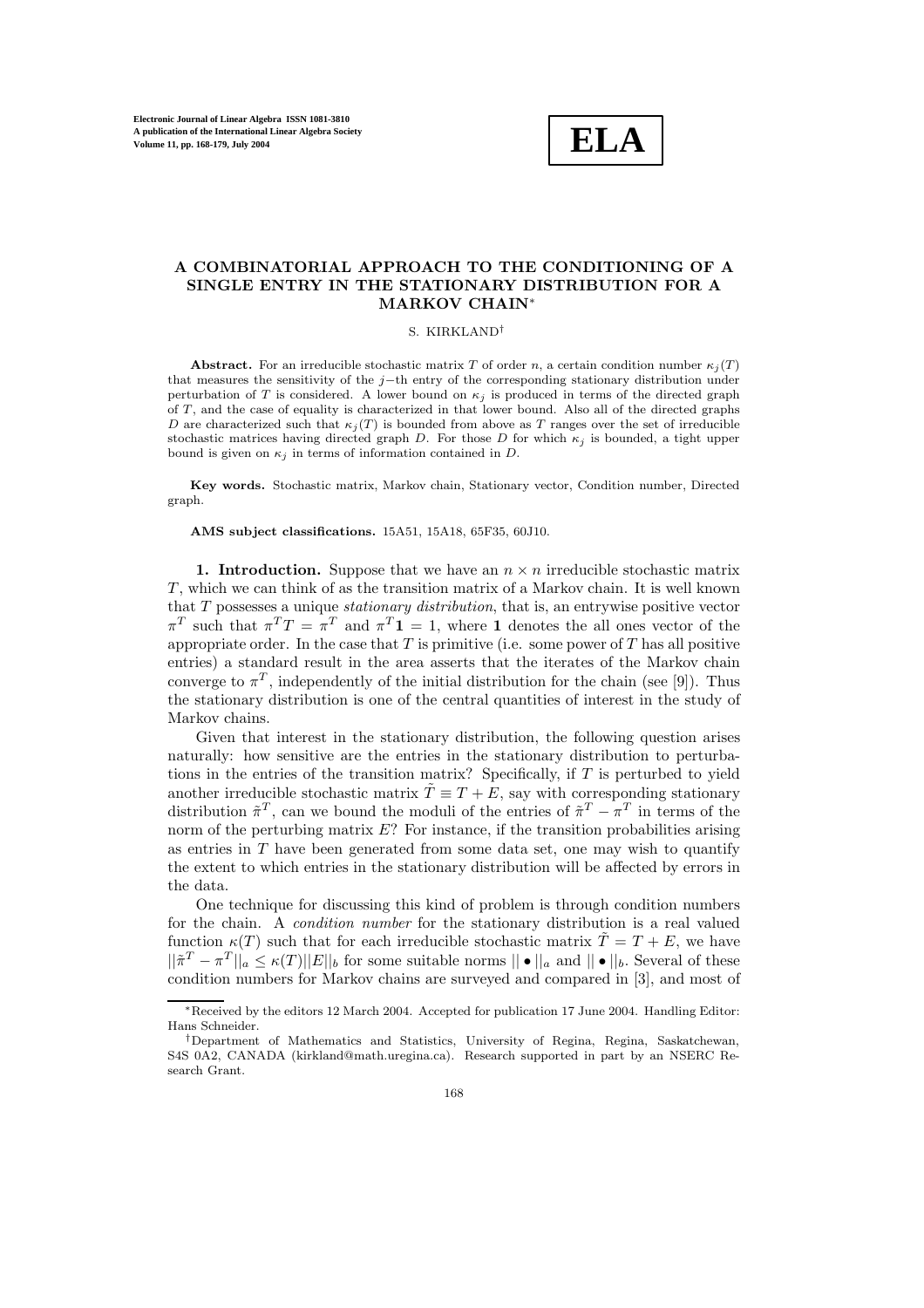

# **A COMBINATORIAL APPROACH TO THE CONDITIONING OF A SINGLE ENTRY IN THE STATIONARY DISTRIBUTION FOR A MARKOV CHAIN**<sup>∗</sup>

## S. KIRKLAND†

**Abstract.** For an irreducible stochastic matrix T of order n, a certain condition number  $\kappa_i(T)$ that measures the sensitivity of the j−th entry of the corresponding stationary distribution under perturbation of T is considered. A lower bound on  $\kappa_j$  is produced in terms of the directed graph of  $T$ , and the case of equality is characterized in that lower bound. Also all of the directed graphs D are characterized such that  $\kappa_i(T)$  is bounded from above as T ranges over the set of irreducible stochastic matrices having directed graph D. For those D for which  $\kappa_i$  is bounded, a tight upper bound is given on  $\kappa_j$  in terms of information contained in D.

Key words. Stochastic matrix, Markov chain, Stationary vector, Condition number, Directed graph.

**AMS subject classifications.** 15A51, 15A18, 65F35, 60J10.

**1. Introduction.** Suppose that we have an  $n \times n$  irreducible stochastic matrix T , which we can think of as the transition matrix of a Markov chain. It is well known that T possesses a unique *stationary distribution*, that is, an entrywise positive vector  $\pi^T$  such that  $\pi^T T = \pi^T$  and  $\pi^T 1 = 1$ , where 1 denotes the all ones vector of the appropriate order. In the case that  $T$  is primitive (i.e. some power of  $T$  has all positive entries) a standard result in the area asserts that the iterates of the Markov chain converge to  $\pi^T$ , independently of the initial distribution for the chain (see [9]). Thus the stationary distribution is one of the central quantities of interest in the study of Markov chains.

Given that interest in the stationary distribution, the following question arises naturally: how sensitive are the entries in the stationary distribution to perturbations in the entries of the transition matrix? Specifically, if  $T$  is perturbed to yield another irreducible stochastic matrix  $\tilde{T} \equiv T + \tilde{E}$ , say with corresponding stationary distribution  $\tilde{\pi}^T$ , can we bound the moduli of the entries of  $\tilde{\pi}^T - \pi^T$  in terms of the norm of the perturbing matrix  $E$ ? For instance, if the transition probabilities arising as entries in  $T$  have been generated from some data set, one may wish to quantify the extent to which entries in the stationary distribution will be affected by errors in the data.

One technique for discussing this kind of problem is through condition numbers for the chain. A *condition number* for the stationary distribution is a real valued function  $\kappa(T)$  such that for each irreducible stochastic matrix  $\tilde{T} = T + E$ , we have  $||\tilde{\pi}^T - \pi^T||_a \leq \kappa(T) ||E||_b$  for some suitable norms  $||\bullet||_a$  and  $||\bullet||_b$ . Several of these condition numbers for Markov chains are surveyed and compared in [3], and most of

<sup>∗</sup>Received bythe editors 12 March 2004. Accepted for publication 17 June 2004. Handling Editor: Hans Schneider.

<sup>†</sup>Department of Mathematics and Statistics, Universityof Regina, Regina, Saskatchewan, S4S 0A2, CANADA (kirkland@math.uregina.ca). Research supported in part by an NSERC Research Grant.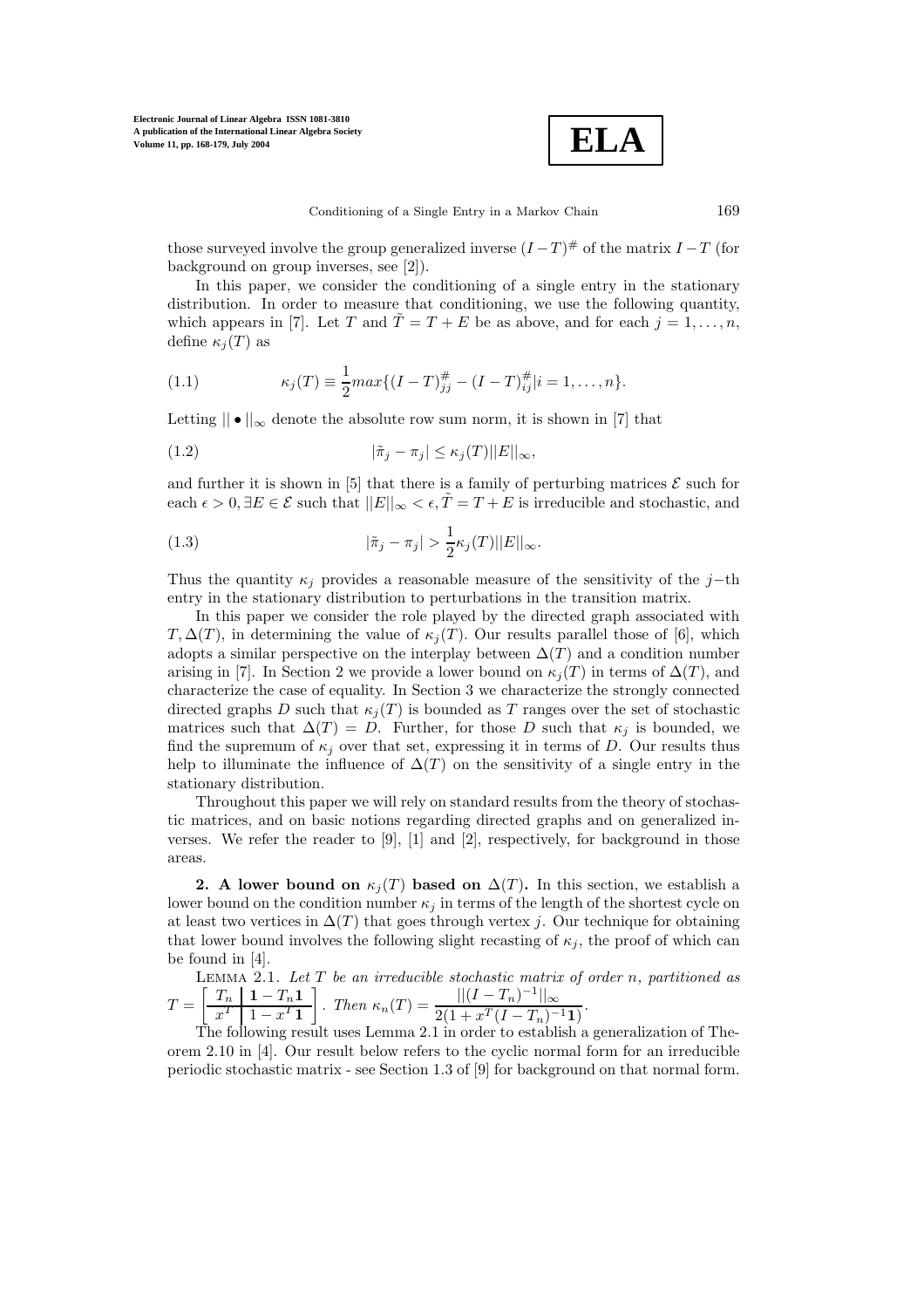

those surveyed involve the group generalized inverse  $(I-T)^{\#}$  of the matrix  $I-T$  (for background on group inverses, see [2]).

In this paper, we consider the conditioning of a single entry in the stationary distribution. In order to measure that conditioning, we use the following quantity, which appears in [7]. Let T and  $\tilde{T} = T + E$  be as above, and for each  $j = 1, \ldots, n$ , define  $\kappa_i(T)$  as

(1.1) 
$$
\kappa_j(T) \equiv \frac{1}{2} max \{ (I - T)_{jj}^{\#} - (I - T)_{ij}^{\#} | i = 1, ..., n \}.
$$

Letting  $|| \bullet ||_{\infty}$  denote the absolute row sum norm, it is shown in [7] that

(1.2) 
$$
|\tilde{\pi}_j - \pi_j| \leq \kappa_j(T) ||E||_{\infty},
$$

and further it is shown in [5] that there is a family of perturbing matrices  $\mathcal E$  such for each  $\epsilon > 0$ ,  $\exists E \in \mathcal{E}$  such that  $||E||_{\infty} < \epsilon$ ,  $\tilde{T} = T + E$  is irreducible and stochastic, and

(1.3) 
$$
|\tilde{\pi}_j - \pi_j| > \frac{1}{2} \kappa_j(T) ||E||_{\infty}.
$$

Thus the quantity  $\kappa_j$  provides a reasonable measure of the sensitivity of the j−th entry in the stationary distribution to perturbations in the transition matrix.

In this paper we consider the role played by the directed graph associated with  $T, \Delta(T)$ , in determining the value of  $\kappa_i(T)$ . Our results parallel those of [6], which adopts a similar perspective on the interplay between  $\Delta(T)$  and a condition number arising in [7]. In Section 2 we provide a lower bound on  $\kappa_i(T)$  in terms of  $\Delta(T)$ , and characterize the case of equality. In Section 3 we characterize the strongly connected directed graphs D such that  $\kappa_i(T)$  is bounded as T ranges over the set of stochastic matrices such that  $\Delta(T) = D$ . Further, for those D such that  $\kappa_i$  is bounded, we find the supremum of  $\kappa_i$  over that set, expressing it in terms of D. Our results thus help to illuminate the influence of  $\Delta(T)$  on the sensitivity of a single entry in the stationary distribution.

Throughout this paper we will rely on standard results from the theory of stochastic matrices, and on basic notions regarding directed graphs and on generalized inverses. We refer the reader to  $[9]$ ,  $[1]$  and  $[2]$ , respectively, for background in those areas.

**2.** A lower bound on  $\kappa_j(T)$  based on  $\Delta(T)$ . In this section, we establish a lower bound on the condition number  $\kappa_j$  in terms of the length of the shortest cycle on at least two vertices in  $\Delta(T)$  that goes through vertex j. Our technique for obtaining that lower bound involves the following slight recasting of  $\kappa_j$ , the proof of which can be found in [4].

LEMMA 2.1. Let T be an irreducible stochastic matrix of order n, partitioned as  
\n
$$
T = \left[\frac{T_n}{x^T} \left( \frac{1 - T_n \mathbf{1}}{1 - x^T \mathbf{1}} \right) \right].
$$
\nThen  $\kappa_n(T) = \frac{||(I - T_n)^{-1}||_{\infty}}{2(1 + x^T (I - T_n)^{-1} \mathbf{1})}.$   
\nThe following result uses Lemma 2.1 in order to establish a generalization of The-

orem 2.10 in [4]. Our result below refers to the cyclic normal form for an irreducible periodic stochastic matrix - see Section 1.3 of [9] for background on that normal form.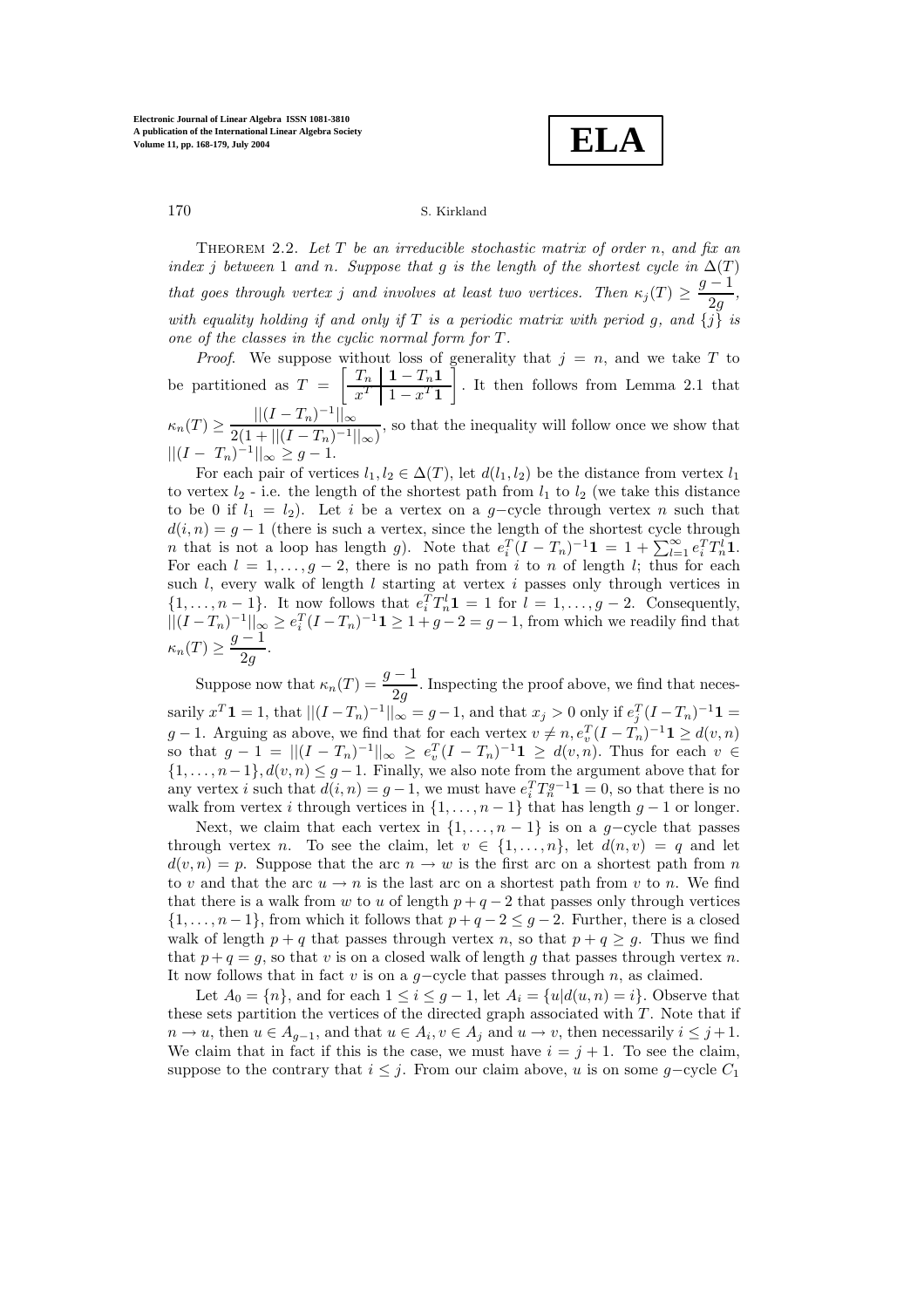**ELA**

Theorem 2.2. *Let* T *be an irreducible stochastic matrix of order* n, *and fix an index j between* 1 *and n.* Suppose that g *is the length of the shortest cycle in*  $\Delta(T)$ *that goes through vertex j and involves at least two vertices. Then*  $\kappa_j(T) \geq \frac{g-1}{2g}$ , *with equality holding if and only if* T *is a periodic matrix with period g, and*  $\{j\}$  *is one of the classes in the cyclic normal form for*  $T$ *.* 

*Proof.* We suppose without loss of generality that  $j = n$ , and we take T to be partitioned as  $T = \left[\begin{array}{c|c} T_n & 1 - T_n 1 \\ \hline x^T & 1 - x^T 1 \end{array}\right]$ - . It then follows from Lemma 2.1 that  $\kappa_n(T) \geq \frac{\left| \left| (I - T_n)^{-1} \right| \right|_{\infty}}{2(1 + \left| \left| (I - T_n)^{-1} \right| \right|_{\infty})}$ , so that the inequality will follow once we show that  $||(I - T_n)^{-1}||_{\infty} \geq g - 1.$ 

For each pair of vertices  $l_1, l_2 \in \Delta(T)$ , let  $d(l_1, l_2)$  be the distance from vertex  $l_1$ to vertex  $l_2$  - i.e. the length of the shortest path from  $l_1$  to  $l_2$  (we take this distance to be 0 if  $l_1 = l_2$ ). Let i be a vertex on a g-cycle through vertex n such that  $d(i, n) = g - 1$  (there is such a vertex, since the length of the shortest cycle through n that is not a loop has length g). Note that  $e_i^T(I - T_n)^{-1} \mathbf{1} = 1 + \sum_{l=1}^{\infty} e_i^T T_n^l \mathbf{1}$ .<br>For each  $l = 1$ ,  $a = 2$ , there is no path from *i* to n of length *l*; thus for each For each  $l = 1, \ldots, g - 2$ , there is no path from i to n of length l; thus for each such  $l$ , every walk of length  $l$  starting at vertex  $i$  passes only through vertices in  $\{1,\ldots,n-1\}$ . It now follows that  $e_i^T T_n^l \mathbf{1} = 1$  for  $l = 1,\ldots,g-2$ . Consequently,  $\prod_{i=1}^{T} T_{n}^{i} \mathbf{1} = 1$  for  $l = 1, \ldots, g-2$ . Consequently,  $||(I - T_n)^{-1}||_{\infty} \ge e_i^T (I - T_n)^{-1} 1 \ge 1 + g - 2 = g - 1$ , from which we readily find that  $\kappa_n(T) \geq \frac{g-1}{2g}.$ 

Suppose now that  $\kappa_n(T) = \frac{g-1}{2g}$ . Inspecting the proof above, we find that necessarily  $x^T \mathbf{1} = 1$ , that  $||(I - T_n)^{-1}||_{\infty} = g - 1$ , and that  $x_j > 0$  only if  $e_j^T (I - T_n)^{-1} \mathbf{1} =$  $g-1$ . Arguing as above, we find that for each vertex  $v \neq n$ ,  $e_x^T(I-T_n)^{-1} \mathbf{1} \geq d(v,n)$ so that  $g - 1 = ||(I - T_n)^{-1}||_{\infty} \ge e_v^T (I - T_n)^{-1} \mathbf{1} \ge d(v, n)$ . Thus for each  $v \in I_1$  and  $d(v, n) \le a - 1$ . Finally, we also note from the argument above that for  $\{1,\ldots,n-1\}, d(v, n) \leq g-1$ . Finally, we also note from the argument above that for any vertex i such that  $d(i, n) = g - 1$ , we must have  $e_i^T T_n^{g-1} \mathbf{1} = 0$ , so that there is no<br>welk from vertex i through vertices in  $f_1 = g_1 + h_2 + h_3$  leases lease  $g_1 + g_2 + h_3$ walk from vertex i through vertices in  $\{1,\ldots,n-1\}$  that has length  $g-1$  or longer.

Next, we claim that each vertex in  $\{1,\ldots,n-1\}$  is on a q-cycle that passes through vertex n. To see the claim, let  $v \in \{1, ..., n\}$ , let  $d(n, v) = q$  and let  $d(v, n) = p$ . Suppose that the arc  $n \to w$  is the first arc on a shortest path from n to v and that the arc  $u \to n$  is the last arc on a shortest path from v to n. We find that there is a walk from w to u of length  $p + q - 2$  that passes only through vertices  $\{1,\ldots,n-1\}$ , from which it follows that  $p+q-2 \leq g-2$ . Further, there is a closed walk of length  $p + q$  that passes through vertex n, so that  $p + q \geq g$ . Thus we find that  $p + q = g$ , so that v is on a closed walk of length g that passes through vertex n. It now follows that in fact v is on a  $g$ –cycle that passes through n, as claimed.

Let  $A_0 = \{n\}$ , and for each  $1 \leq i \leq g-1$ , let  $A_i = \{u | d(u, n) = i\}$ . Observe that these sets partition the vertices of the directed graph associated with  $T$ . Note that if  $n \to u$ , then  $u \in A_{q-1}$ , and that  $u \in A_i$ ,  $v \in A_j$  and  $u \to v$ , then necessarily  $i \leq j+1$ . We claim that in fact if this is the case, we must have  $i = j + 1$ . To see the claim, suppose to the contrary that  $i \leq j$ . From our claim above, u is on some g-cycle  $C_1$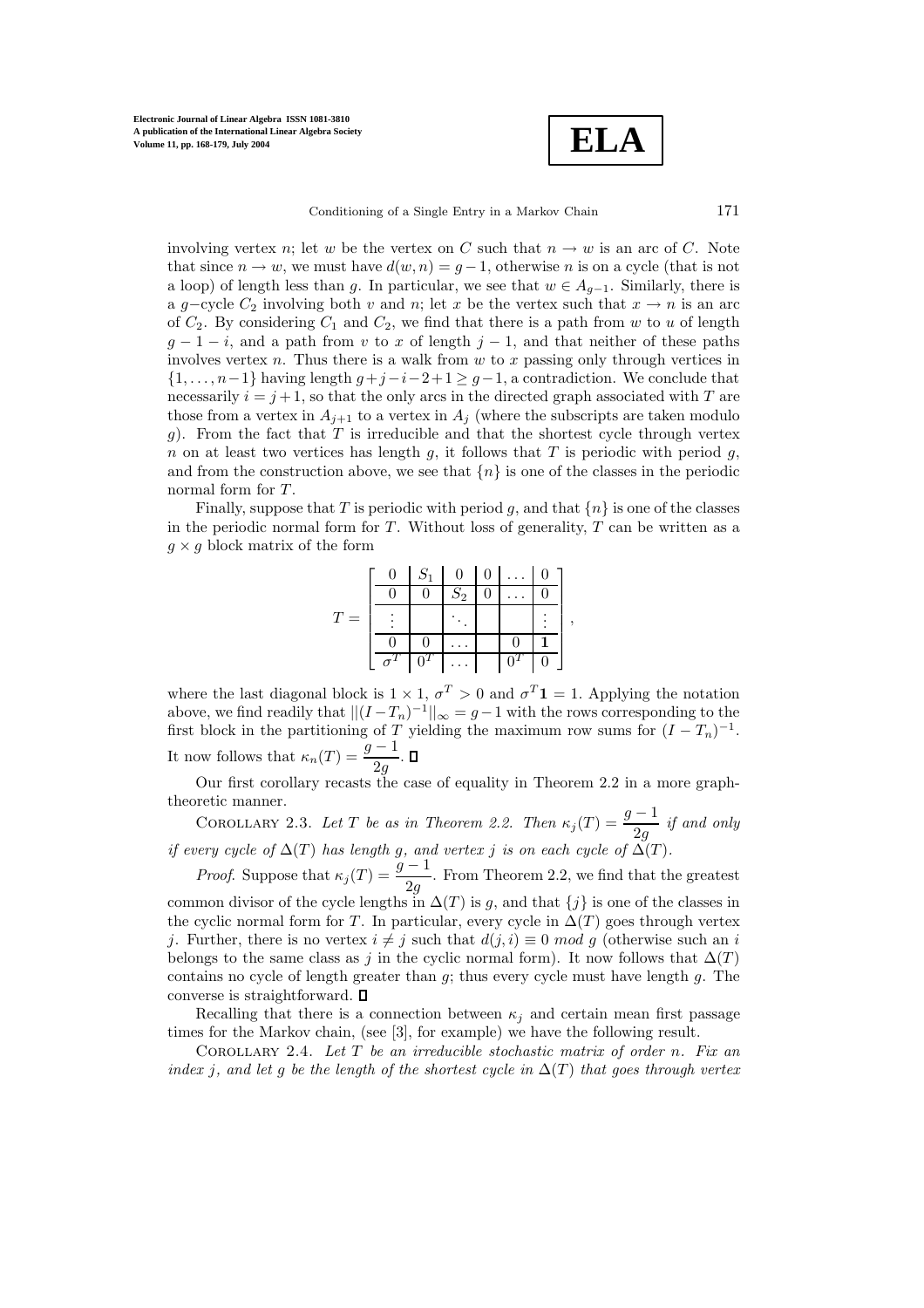**ELA**

Conditioning of a Single Entry in a Markov Chain 171

involving vertex n; let w be the vertex on C such that  $n \to w$  is an arc of C. Note that since  $n \to w$ , we must have  $d(w, n) = g - 1$ , otherwise n is on a cycle (that is not a loop) of length less than g. In particular, we see that  $w \in A_{q-1}$ . Similarly, there is a g-cycle  $C_2$  involving both v and n; let x be the vertex such that  $x \to n$  is an arc of  $C_2$ . By considering  $C_1$  and  $C_2$ , we find that there is a path from w to u of length  $g-1-i$ , and a path from v to x of length  $j-1$ , and that neither of these paths involves vertex n. Thus there is a walk from  $w$  to  $x$  passing only through vertices in  $\{1,\ldots,n-1\}$  having length  $q+j-i-2+1 \geq q-1$ , a contradiction. We conclude that necessarily  $i = j + 1$ , so that the only arcs in the directed graph associated with T are those from a vertex in  $A_{j+1}$  to a vertex in  $A_j$  (where the subscripts are taken modulo g). From the fact that T is irreducible and that the shortest cycle through vertex n on at least two vertices has length q, it follows that T is periodic with period q, and from the construction above, we see that  $\{n\}$  is one of the classes in the periodic normal form for T.

Finally, suppose that T is periodic with period g, and that  $\{n\}$  is one of the classes in the periodic normal form for  $T$ . Without loss of generality,  $T$  can be written as a  $g \times g$  block matrix of the form

|                | $S_1$ |       | 0 |                  |   |
|----------------|-------|-------|---|------------------|---|
|                | O     | $S_2$ |   |                  |   |
| T<br>$\dot{=}$ |       |       |   |                  | , |
|                |       |       |   |                  |   |
|                |       |       |   | $\boldsymbol{0}$ |   |

where the last diagonal block is  $1 \times 1$ ,  $\sigma^T > 0$  and  $\sigma^T \mathbf{1} = 1$ . Applying the notation above, we find readily that  $||(I - T_n)^{-1}||_{\infty} = g - 1$  with the rows corresponding to the first block in the partitioning of T yielding the maximum row sums for  $(I - T_n)^{-1}$ . It now follows that  $\kappa_n(T) = \frac{g-1}{2g}$ .

Our first corollary recasts the case of equality in Theorem 2.2 in a more graphtheoretic manner.

COROLLARY 2.3. Let *T* be as in Theorem 2.2. Then  $\kappa_j(T) = \frac{g-1}{2g}$  if and only *if every cycle of*  $\Delta(T)$  *has length g, and vertex j is on each cycle of*  $\Delta(T)$ *.* 

*Proof.* Suppose that  $\kappa_j(T) = \frac{g-1}{2g}$ . From Theorem 2.2, we find that the greatest common divisor of the cycle lengths in  $\Delta(T)$  is g, and that  $\{j\}$  is one of the classes in the cyclic normal form for T. In particular, every cycle in  $\Delta(T)$  goes through vertex j. Further, there is no vertex  $i \neq j$  such that  $d(j, i) \equiv 0 \mod g$  (otherwise such an i belongs to the same class as j in the cyclic normal form). It now follows that  $\Delta(T)$ contains no cycle of length greater than  $g$ ; thus every cycle must have length  $g$ . The converse is straightforward.  $\square$ 

Recalling that there is a connection between  $\kappa_i$  and certain mean first passage times for the Markov chain, (see  $[3]$ , for example) we have the following result.

COROLLARY 2.4. Let T be an irreducible stochastic matrix of order n. Fix an *index j, and let g be the length of the shortest cycle in*  $\Delta(T)$  *that goes through vertex*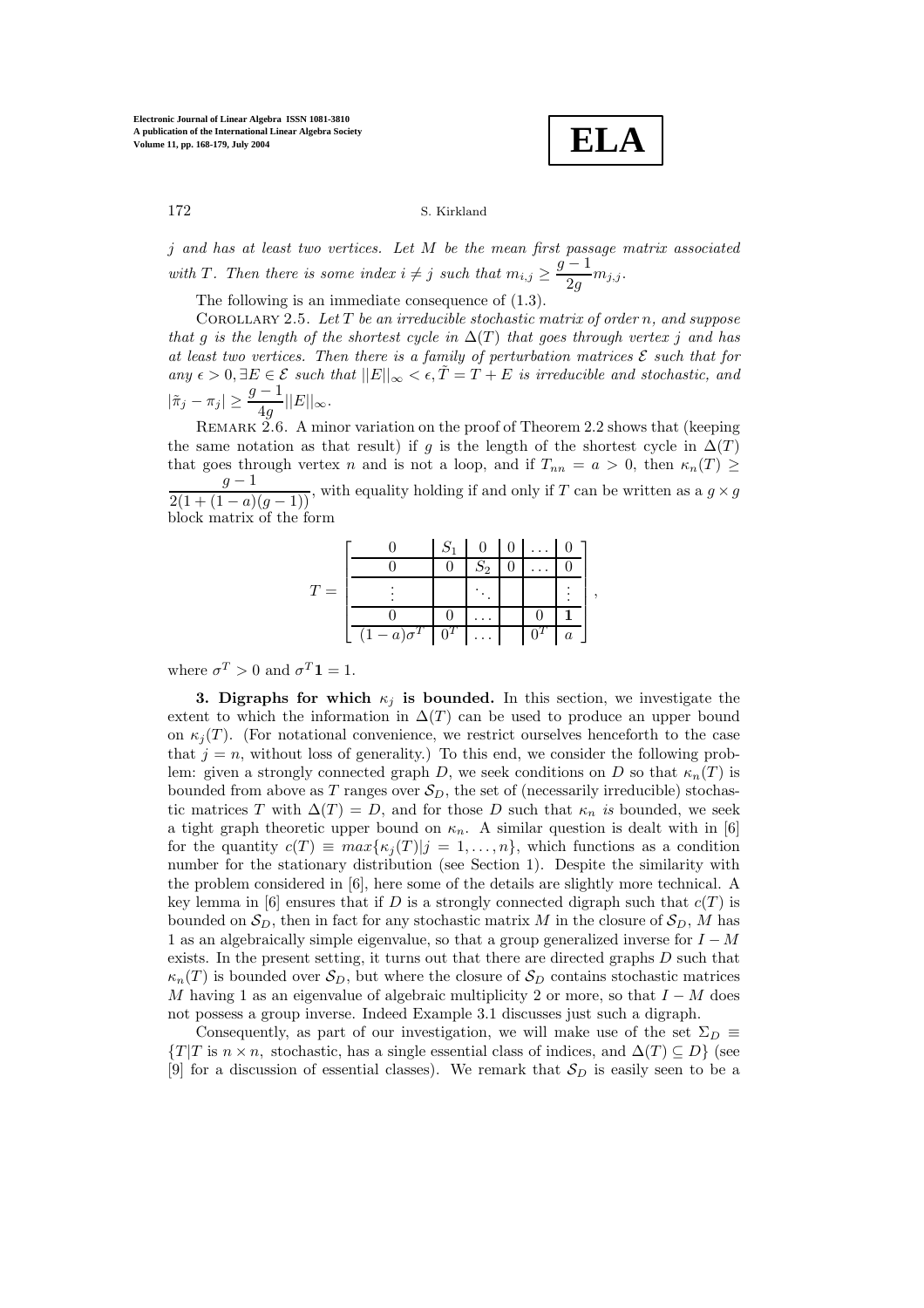**ELA**

,

172 S. Kirkland

j *and has at least two vertices. Let* M *be the mean first passage matrix associated* with *T*. Then there is some index  $i \neq j$  such that  $m_{i,j} \geq \frac{g-1}{2g} m_{j,j}$ .

The following is an immediate consequence of (1.3).

Corollary 2.5. *Let* T *be an irreducible stochastic matrix of order* n*, and suppose that* g *is the length of the shortest cycle in*  $\Delta(T)$  *that goes through vertex* j *and has at least two vertices. Then there is a family of perturbation matrices*  $\mathcal{E}$  *such that for any*  $\epsilon > 0$ ,  $\exists E \in \mathcal{E}$  *such that*  $||E||_{\infty} < \epsilon$ ,  $\tilde{T} = T + E$  *is irreducible and stochastic, and*  $|\tilde{\pi}_j - \pi_j| \ge \frac{g-1}{4g} ||E||_{\infty}.$ 

REMARK 2.6. A minor variation on the proof of Theorem 2.2 shows that (keeping the same notation as that result) if g is the length of the shortest cycle in  $\Delta(T)$ that goes through vertex n and is not a loop, and if  $T_{nn} = a > 0$ , then  $\kappa_n(T) \geq$  $\frac{g-1}{2(1+(1-a)(g-1))}$ , with equality holding if and only if T can be written as a  $g \times g$ block matrix of the form

|       |                          | $S_1$ |          | $\overline{0}$ |                  |
|-------|--------------------------|-------|----------|----------------|------------------|
|       |                          |       | $S_2$    |                |                  |
| $T =$ |                          |       |          |                |                  |
|       |                          |       |          |                |                  |
|       | $(1-a)\sigma^T\bigm 0^T$ |       | $\cdots$ |                | $\boldsymbol{a}$ |

where  $\sigma^T > 0$  and  $\sigma^T \mathbf{1} = 1$ .

**3. Digraphs for which**  $\kappa_j$  **is bounded.** In this section, we investigate the extent to which the information in  $\Delta(T)$  can be used to produce an upper bound on  $\kappa_i(T)$ . (For notational convenience, we restrict ourselves henceforth to the case that  $j = n$ , without loss of generality.) To this end, we consider the following problem: given a strongly connected graph D, we seek conditions on D so that  $\kappa_n(T)$  is bounded from above as T ranges over  $S_D$ , the set of (necessarily irreducible) stochastic matrices T with  $\Delta(T) = D$ , and for those D such that  $\kappa_n$  *is* bounded, we seek a tight graph theoretic upper bound on  $\kappa_n$ . A similar question is dealt with in [6] for the quantity  $c(T) \equiv max\{\kappa_j(T)|j=1,\ldots,n\}$ , which functions as a condition number for the stationary distribution (see Section 1). Despite the similarity with the problem considered in [6], here some of the details are slightly more technical. A key lemma in [6] ensures that if D is a strongly connected digraph such that  $c(T)$  is bounded on  $S_D$ , then in fact for any stochastic matrix M in the closure of  $S_D$ , M has 1 as an algebraically simple eigenvalue, so that a group generalized inverse for  $I - M$ exists. In the present setting, it turns out that there are directed graphs  $D$  such that  $\kappa_n(T)$  is bounded over  $\mathcal{S}_D$ , but where the closure of  $\mathcal{S}_D$  contains stochastic matrices M having 1 as an eigenvalue of algebraic multiplicity 2 or more, so that  $I - M$  does not possess a group inverse. Indeed Example 3.1 discusses just such a digraph.

Consequently, as part of our investigation, we will make use of the set  $\Sigma_D \equiv$  $\{T|T \text{ is } n \times n, \text{ stochastic, has a single essential class of indices, and } \Delta(T) \subseteq D\}$  (see [9] for a discussion of essential classes). We remark that  $S_D$  is easily seen to be a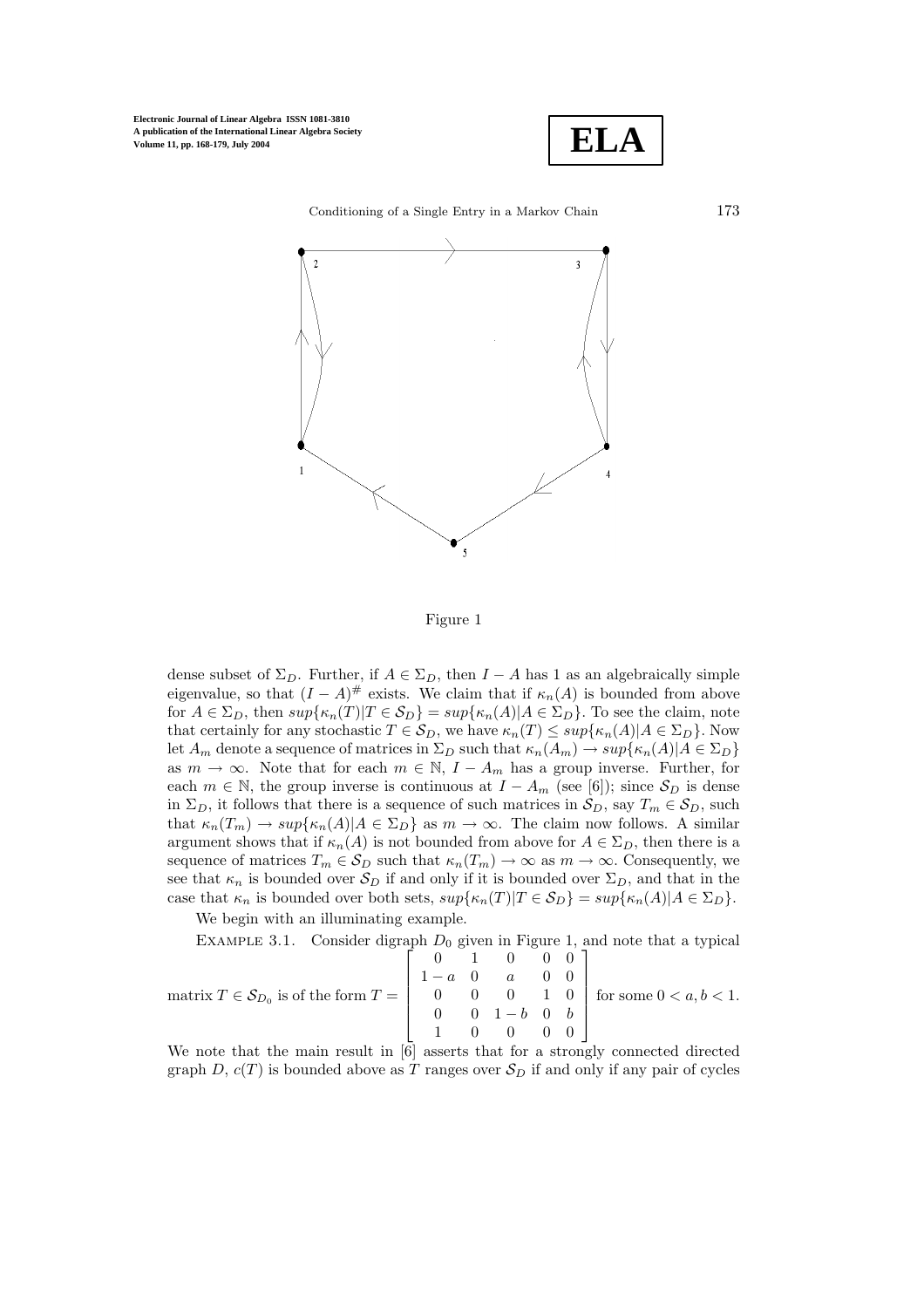**Electronic Journal of Linear Algebra ISSN 1081-3810 A publication of the International Linear Algebra Society Volume 11, pp. 168-179, July 2004**





Figure 1

dense subset of  $\Sigma_D$ . Further, if  $A \in \Sigma_D$ , then  $I - A$  has 1 as an algebraically simple eigenvalue, so that  $(I - A)^{\#}$  exists. We claim that if  $\kappa_n(A)$  is bounded from above for  $A \in \Sigma_D$ , then  $sup\{\kappa_n(T)|T \in \mathcal{S}_D\} = sup\{\kappa_n(A)|A \in \Sigma_D\}$ . To see the claim, note that certainly for any stochastic  $T \in \mathcal{S}_D$ , we have  $\kappa_n(T) \leq \sup{\kappa_n(A) | A \in \Sigma_D}$ . Now let  $A_m$  denote a sequence of matrices in  $\Sigma_D$  such that  $\kappa_n(A_m) \to \sup\{\kappa_n(A)|A \in \Sigma_D\}$ as  $m \to \infty$ . Note that for each  $m \in \mathbb{N}$ ,  $I - A_m$  has a group inverse. Further, for each  $m \in \mathbb{N}$ , the group inverse is continuous at  $I - A_m$  (see [6]); since  $S_D$  is dense in  $\Sigma_D$ , it follows that there is a sequence of such matrices in  $\mathcal{S}_D$ , say  $T_m \in \mathcal{S}_D$ , such that  $\kappa_n(T_m) \to \sup \{ \kappa_n(A) | A \in \Sigma_D \}$  as  $m \to \infty$ . The claim now follows. A similar argument shows that if  $\kappa_n(A)$  is not bounded from above for  $A \in \Sigma_D$ , then there is a sequence of matrices  $T_m \in \mathcal{S}_D$  such that  $\kappa_n(T_m) \to \infty$  as  $m \to \infty$ . Consequently, we see that  $\kappa_n$  is bounded over  $S_D$  if and only if it is bounded over  $\Sigma_D$ , and that in the case that  $\kappa_n$  is bounded over both sets,  $sup{\kappa_n(T)|T \in \mathcal{S}_D}$  =  $sup{\kappa_n(A)|A \in \Sigma_D}$ .

We begin with an illuminating example.

EXAMPLE 3.1. Consider digraph  $D_0$  given in Figure 1, and note that a typical

$$
\text{matrix } T \in \mathcal{S}_{D_0} \text{ is of the form } T = \left[ \begin{array}{rrrrr} 0 & 1 & 0 & 0 & 0 \\ 1 - a & 0 & a & 0 & 0 \\ 0 & 0 & 0 & 1 & 0 \\ 0 & 0 & 1 - b & 0 & b \\ 1 & 0 & 0 & 0 & 0 \end{array} \right] \text{ for some } 0 < a, b < 1.
$$

We note that the main result in [6] asserts that for a strongly connected directed graph D,  $c(T)$  is bounded above as T ranges over  $S_D$  if and only if any pair of cycles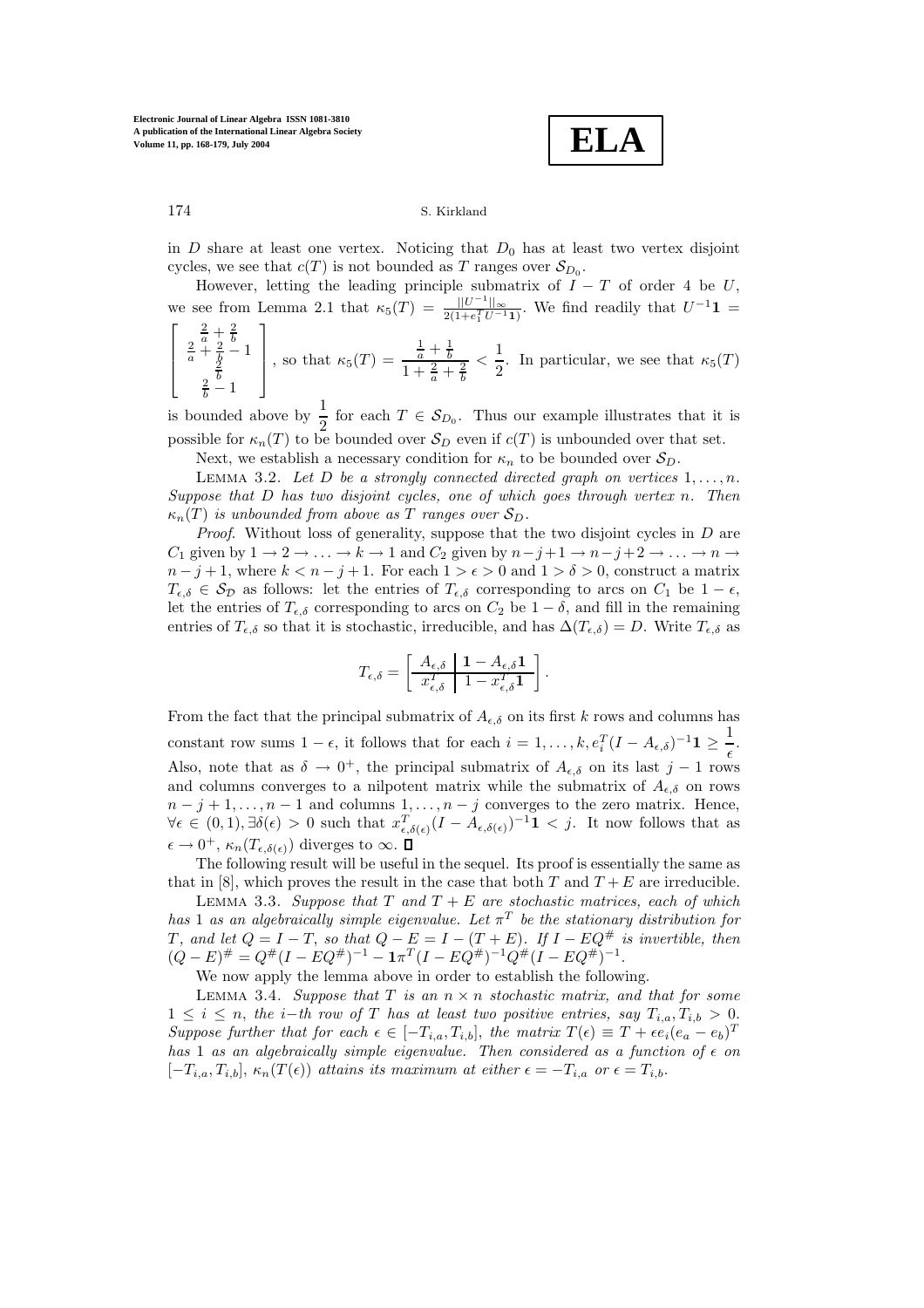**ELA**

in  $D$  share at least one vertex. Noticing that  $D_0$  has at least two vertex disjoint cycles, we see that  $c(T)$  is not bounded as T ranges over  $S_{D_0}$ .

However, letting the leading principle submatrix of  $I - T$  of order 4 be U, we see from Lemma 2.1 that  $\kappa_5(T) = \frac{||U^{-1}||_{\infty}}{2(1 + e_1^T U^{-1} \mathbf{1})}$ . We find readily that  $U^{-1} \mathbf{1} = \begin{bmatrix} \frac{2}{\pi} + \frac{2}{\pi} & 1 \end{bmatrix}$ 

$$
\begin{bmatrix} \frac{2}{a} + \frac{2}{b} \\ \frac{2}{a} + \frac{2}{b} - 1 \\ \frac{2}{b} - 1 \end{bmatrix}
$$
, so that  $\kappa_5(T) = \frac{\frac{1}{a} + \frac{1}{b}}{1 + \frac{2}{a} + \frac{2}{b}} < \frac{1}{2}$ . In particular, we see that  $\kappa_5(T)$ 

is bounded above by  $\frac{1}{2}$  for each  $T \in S_{D_0}$ . Thus our example illustrates that it is possible for  $\kappa_n(T)$  to be bounded over  $\mathcal{S}_D$  even if  $c(T)$  is unbounded over that set.

Next, we establish a necessary condition for  $\kappa_n$  to be bounded over  $S_D$ .

LEMMA 3.2. Let D be a strongly connected directed graph on vertices  $1, \ldots, n$ . *Suppose that* D *has two disjoint cycles, one of which goes through vertex* n*. Then*  $\kappa_n(T)$  *is unbounded from above as* T *ranges over*  $S_D$ .

*Proof*. Without loss of generality, suppose that the two disjoint cycles in D are  $C_1$  given by  $1 \to 2 \to \ldots \to k \to 1$  and  $C_2$  given by  $n-j+1 \to n-j+2 \to \ldots \to n \to$  $n - j + 1$ , where  $k < n - j + 1$ . For each  $1 > \epsilon > 0$  and  $1 > \delta > 0$ , construct a matrix  $T_{\epsilon,\delta} \in \mathcal{S}_{\mathcal{D}}$  as follows: let the entries of  $T_{\epsilon,\delta}$  corresponding to arcs on  $C_1$  be  $1 - \epsilon$ , let the entries of  $T_{\epsilon,\delta}$  corresponding to arcs on  $C_2$  be  $1-\delta$ , and fill in the remaining entries of  $T_{\epsilon,\delta}$  so that it is stochastic, irreducible, and has  $\Delta(T_{\epsilon,\delta}) = D$ . Write  $T_{\epsilon,\delta}$  as

$$
T_{\epsilon,\delta} = \left[ \begin{array}{c|c} A_{\epsilon,\delta} & 1 - A_{\epsilon,\delta} \mathbf{1} \\ \hline x_{\epsilon,\delta}^T & 1 - x_{\epsilon,\delta}^T \mathbf{1} \end{array} \right].
$$

From the fact that the principal submatrix of  $A_{\epsilon,\delta}$  on its first k rows and columns has constant row sums  $1 - \epsilon$ , it follows that for each  $i = 1, ..., k$ ,  $e_i^T (I - A_{\epsilon,\delta})^{-1} \mathbf{1} \ge \frac{1}{\epsilon}$  $\frac{1}{\epsilon}$ . Also, note that as  $\delta \to 0^+$ , the principal submatrix of  $A_{\epsilon,\delta}$  on its last j – 1 rows and columns converges to a nilpotent matrix while the submatrix of  $A_{\epsilon,\delta}$  on rows  $n - j + 1, \ldots, n - 1$  and columns  $1, \ldots, n - j$  converges to the zero matrix. Hence,  $\forall \epsilon \in (0,1), \exists \delta(\epsilon) > 0$  such that  $x_{\epsilon,\delta(\epsilon)}^T (I - A_{\epsilon,\delta(\epsilon)})^{-1} \mathbf{1} < j$ . It now follows that as  $\epsilon \to 0^+, \kappa_n(T_{\epsilon,\delta(\epsilon)})$  diverges to  $\infty$ .

The following result will be useful in the sequel. Its proof is essentially the same as that in [8], which proves the result in the case that both T and  $T + E$  are irreducible.

Lemma 3.3. *Suppose that* T *and* T + E *are stochastic matrices, each of which has* 1 *as an algebraically simple eigenvalue. Let*  $\pi^T$  *be the stationary distribution for* T, and let  $Q = I - T$ , so that  $Q - E = I - (T + E)$ . If  $I - EQ^{\#}$  is invertible, then  $(Q - E)^{\#} = Q^{\#}(I - EQ^{\#})^{-1} - \mathbf{1}\pi^{T}(I - EQ^{\#})^{-1}Q^{\#}(I - EQ^{\#})^{-1}.$ 

We now apply the lemma above in order to establish the following.

LEMMA 3.4. *Suppose that*  $T$  *is an*  $n \times n$  *stochastic matrix, and that for some*  $1 \leq i \leq n$ , the *i*−*th* row of T has at least two positive entries, say  $T_{i,a}, T_{i,b} > 0$ . *Suppose further that for each*  $\epsilon \in [-T_{i,a}, T_{i,b}],$  *the matrix*  $T(\epsilon) \equiv T + \epsilon e_i(e_a - e_b)^T$ *has* 1 *as an algebraically simple eigenvalue. Then considered as a function of*  $\epsilon$  *on*  $[-T_{i,a}, T_{i,b}], \kappa_n(T(\epsilon))$  *attains its maximum at either*  $\epsilon = -T_{i,a}$  *or*  $\epsilon = T_{i,b}$ .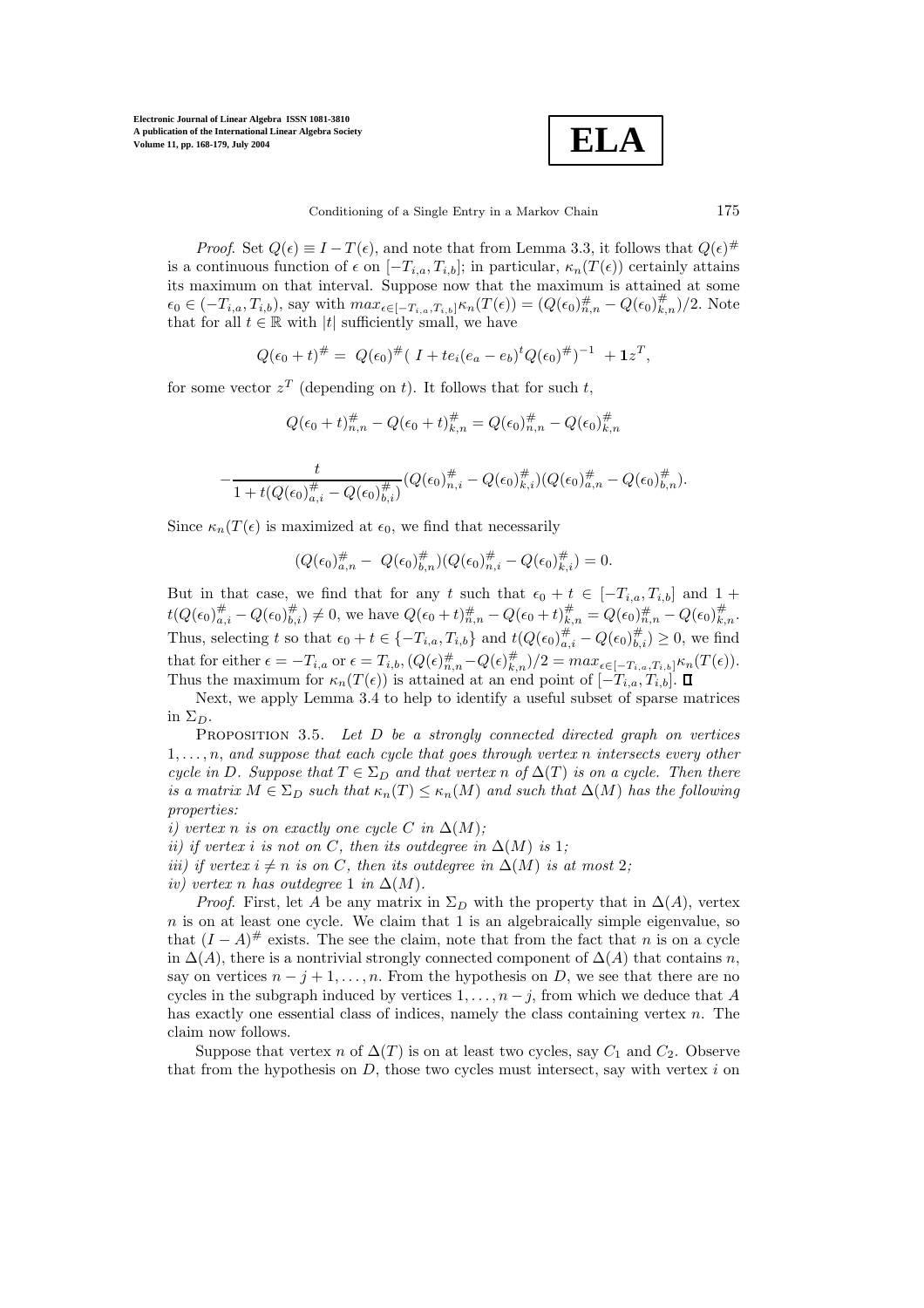**Electronic Journal of Linear Algebra ISSN 1081-3810 A publication of the International Linear Algebra Society Volume 11, pp. 168-179, July 2004**



*Proof.* Set  $Q(\epsilon) \equiv I - T(\epsilon)$ , and note that from Lemma 3.3, it follows that  $Q(\epsilon)$ <sup>#</sup> is a continuous function of  $\epsilon$  on  $[-T_{i,a}, T_{i,b}]$ ; in particular,  $\kappa_n(T(\epsilon))$  certainly attains its maximum on that interval. Suppose now that the maximum is attained at some  $\epsilon_0 \in (-T_{i,a}, T_{i,b})$ , say with  $\max_{\epsilon \in [-T_{i,a}, T_{i,b}]} \kappa_n(T(\epsilon)) = (Q(\epsilon_0)_{n,n}^{\#} - Q(\epsilon_0)_{k,n}^{\#})/2$ . Note that for all  $t \in \mathbb{R}$  with |t| sufficiently small, we have

$$
Q(\epsilon_0+t)^{\#} = Q(\epsilon_0)^{\#} (I+te_i(e_a-e_b)^t Q(\epsilon_0)^{\#})^{-1} + \mathbf{1}z^T,
$$

for some vector  $z^T$  (depending on t). It follows that for such t,

$$
Q(\epsilon_0 + t)_{n,n}^{\#} - Q(\epsilon_0 + t)_{k,n}^{\#} = Q(\epsilon_0)_{n,n}^{\#} - Q(\epsilon_0)_{k,n}^{\#}
$$

$$
-\frac{t}{1+t(Q(\epsilon_0)_{a,i}^{\#}-Q(\epsilon_0)_{b,i}^{\#})}(Q(\epsilon_0)_{n,i}^{\#}-Q(\epsilon_0)_{k,i}^{\#})(Q(\epsilon_0)_{a,n}^{\#}-Q(\epsilon_0)_{b,n}^{\#}).
$$

Since  $\kappa_n(T(\epsilon))$  is maximized at  $\epsilon_0$ , we find that necessarily

$$
(Q(\epsilon_0)_{a,n}^{\#} - Q(\epsilon_0)_{b,n}^{\#})(Q(\epsilon_0)_{n,i}^{\#} - Q(\epsilon_0)_{k,i}^{\#}) = 0.
$$

But in that case, we find that for any t such that  $\epsilon_0 + t \in [-T_{i,a}, T_{i,b}]$  and  $1 +$  $t(Q(\epsilon_0)_{a,i}^{\#}-Q(\epsilon_0)_{b,i}^{\#})\neq 0$ , we have  $Q(\epsilon_0+t)_{n,n}^{\#}-Q(\epsilon_0+t)_{k,n}^{\#}=Q(\epsilon_0)_{n,n}^{\#}-Q(\epsilon_0)_{k,n}^{\#}$ Thus, selecting t so that  $\epsilon_0 + t \in \{-T_{i,a}, T_{i,b}\}$  and  $t(Q(\epsilon_0)_{a,i}^{\#} - Q(\epsilon_0)_{b,i}^{\#}) \geq 0$ , we find that for either  $\epsilon = -T_{i,a}$  or  $\epsilon = T_{i,b}, (Q(\epsilon)_{m,n}^{\#} - Q(\epsilon)_{n,n}^{\#})/2 = max_{\epsilon \in [-T_{i,a},T_{i,b}]} \kappa_n(T(\epsilon)).$ <br>Thus the maximum for  $\kappa_n(T(\epsilon))$  is attained at an end point of  $[-T_{i}, T_{i,b}]$ Thus the maximum for  $\kappa_n(T(\epsilon))$  is attained at an end point of  $[-T_{i,a}, T_{i,b}]$ .

Next, we apply Lemma 3.4 to help to identify a useful subset of sparse matrices in  $\Sigma_D$ .

Proposition 3.5. *Let* D *be a strongly connected directed graph on vertices* 1, . . . , n, *and suppose that each cycle that goes through vertex* n *intersects every other cycle in* D. Suppose that  $T \in \Sigma_D$  and that vertex n of  $\Delta(T)$  is on a cycle. Then there *is a matrix*  $M \in \Sigma_D$  *such that*  $\kappa_n(T) \leq \kappa_n(M)$  *and such that*  $\Delta(M)$  *has the following properties:*

*i)* vertex n *is on exactly one cycle*  $C$  *in*  $\Delta(M)$ *;* 

*ii)* if vertex *i is not on* C, then *its outdegree in*  $\Delta(M)$  *is* 1*;* 

*iii) if vertex*  $i \neq n$  *is on* C, then *its outdegree in*  $\Delta(M)$  *is at most* 2*;* 

*iv)* vertex n has outdegree 1 *in*  $\Delta(M)$ .

*Proof.* First, let A be any matrix in  $\Sigma_D$  with the property that in  $\Delta(A)$ , vertex  $n$  is on at least one cycle. We claim that 1 is an algebraically simple eigenvalue, so that  $(I - A)^{\#}$  exists. The see the claim, note that from the fact that n is on a cycle in  $\Delta(A)$ , there is a nontrivial strongly connected component of  $\Delta(A)$  that contains n, say on vertices  $n - j + 1, \ldots, n$ . From the hypothesis on D, we see that there are no cycles in the subgraph induced by vertices  $1, \ldots, n-j$ , from which we deduce that A has exactly one essential class of indices, namely the class containing vertex n. The claim now follows.

Suppose that vertex n of  $\Delta(T)$  is on at least two cycles, say  $C_1$  and  $C_2$ . Observe that from the hypothesis on  $D$ , those two cycles must intersect, say with vertex  $i$  on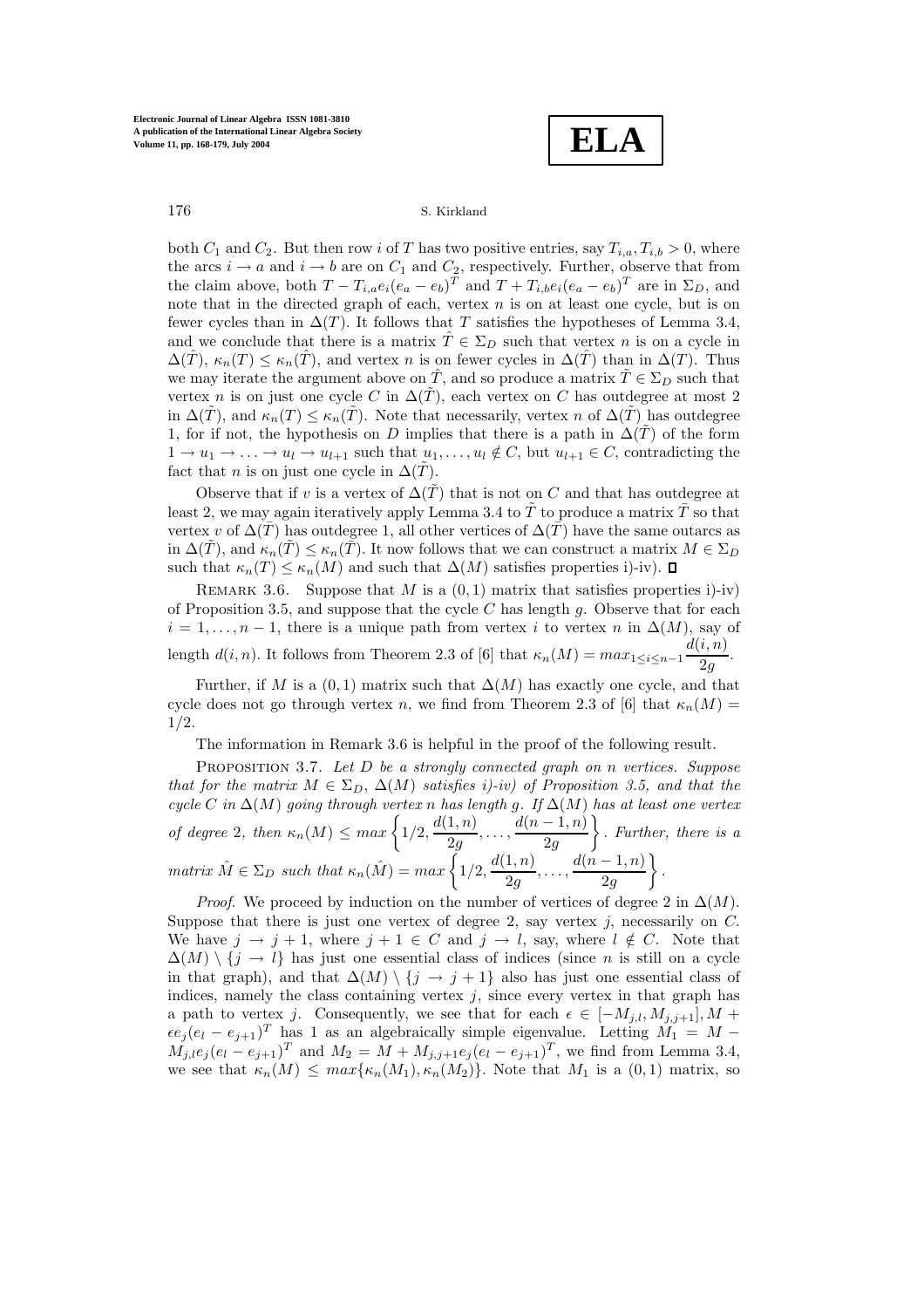**ELA**

both  $C_1$  and  $C_2$ . But then row i of T has two positive entries, say  $T_{i,a}, T_{i,b} > 0$ , where the arcs  $i \to a$  and  $i \to b$  are on  $C_1$  and  $C_2$ , respectively. Further, observe that from the claim above, both  $T - T_{i,a}e_i(e_a - e_b)^T$  and  $T + T_{i,b}e_i(e_a - e_b)^T$  are in  $\Sigma_D$ , and note that in the directed graph of each, vertex  $n$  is on at least one cycle, but is on fewer cycles than in  $\Delta(T)$ . It follows that T satisfies the hypotheses of Lemma 3.4, and we conclude that there is a matrix  $\hat{T} \in \Sigma_D$  such that vertex n is on a cycle in  $\Delta(\hat{T}), \kappa_n(T) \leq \kappa_n(\hat{T}),$  and vertex n is on fewer cycles in  $\Delta(\hat{T})$  than in  $\Delta(T)$ . Thus we may iterate the argument above on  $\hat{T}$ , and so produce a matrix  $\tilde{T} \in \Sigma_D$  such that vertex n is on just one cycle C in  $\Delta(T)$ , each vertex on C has outdegree at most 2 in  $\Delta(\tilde{T})$ , and  $\kappa_n(T) \leq \kappa_n(T)$ . Note that necessarily, vertex n of  $\Delta(\tilde{T})$  has outdegree 1, for if not, the hypothesis on D implies that there is a path in  $\Delta(T)$  of the form  $1 \to u_1 \to \ldots \to u_l \to u_{l+1}$  such that  $u_1, \ldots, u_l \notin C$ , but  $u_{l+1} \in C$ , contradicting the fact that *n* is on just one cycle in  $\Delta(\tilde{T})$ .

Observe that if v is a vertex of  $\Delta(\tilde{T})$  that is not on C and that has outdegree at least 2, we may again iteratively apply Lemma 3.4 to  $\tilde{T}$  to produce a matrix  $\overline{T}$  so that vertex v of  $\Delta(\overline{T})$  has outdegree 1, all other vertices of  $\Delta(\overline{T})$  have the same outarcs as in  $\Delta(T)$ , and  $\kappa_n(T) \leq \kappa_n(T)$ . It now follows that we can construct a matrix  $M \in \Sigma_D$ such that  $\kappa_n(T) \leq \kappa_n(M)$  and such that  $\Delta(M)$  satisfies properties i)-iv).  $\Box$ 

REMARK 3.6. Suppose that M is a  $(0, 1)$  matrix that satisfies properties i)-iv) of Proposition 3.5, and suppose that the cycle  $C$  has length  $g$ . Observe that for each  $i = 1, \ldots, n-1$ , there is a unique path from vertex i to vertex n in  $\Delta(M)$ , say of length  $d(i, n)$ . It follows from Theorem 2.3 of [6] that  $\kappa_n(M) = \max_{1 \leq i \leq n-1} \frac{d(i, n)}{2g}$ .

Further, if M is a  $(0, 1)$  matrix such that  $\Delta(M)$  has exactly one cycle, and that cycle does not go through vertex n, we find from Theorem 2.3 of [6] that  $\kappa_n(M)$  = 1/2.

The information in Remark 3.6 is helpful in the proof of the following result.

Proposition 3.7. *Let* D *be a strongly connected graph on* n *vertices. Suppose that for the matrix*  $M \in \Sigma_D$ ,  $\Delta(M)$  *satisfies i)-iv) of Proposition 3.5, and that the cycle* C *in* ∆(M) *going through vertex* n *has length* g*. If* ∆(M) *has at least one vertex of degree* 2, then  $\kappa_n(M) \leq max \left\{ 1/2, \frac{d(1,n)}{2g}, \ldots, \frac{d(n-1,n)}{2g} \right\}$  . *Further, there is a*  $matrix\ \hat{M} \in \Sigma_D\ such\ that\ \kappa_n(\hat{M}) = max\bigg\{1/2,\frac{d(1,n)}{2g},\ldots,\frac{d(n-1,n)}{2g}\bigg\}$  $\Big\} .$ 

*Proof.* We proceed by induction on the number of vertices of degree 2 in  $\Delta(M)$ . Suppose that there is just one vertex of degree 2, say vertex  $j$ , necessarily on  $C$ . We have  $j \to j + 1$ , where  $j + 1 \in C$  and  $j \to l$ , say, where  $l \notin C$ . Note that  $\Delta(M) \setminus \{j \to l\}$  has just one essential class of indices (since *n* is still on a cycle in that graph), and that  $\Delta(M) \setminus \{j \to j+1\}$  also has just one essential class of indices, namely the class containing vertex  $j$ , since every vertex in that graph has a path to vertex j. Consequently, we see that for each  $\epsilon \in [-M_{i,l}, M_{i,j+1}], M +$  $\epsilon e_j(e_l - e_{j+1})^T$  has 1 as an algebraically simple eigenvalue. Letting  $\widetilde{M_1} = M M_{j,l}e_j(e_l - e_{j+1})^T$  and  $M_2 = M + M_{j,j+1}e_j(e_l - e_{j+1})^T$ , we find from Lemma 3.4, we see that  $\kappa_n(M) \leq max\{\kappa_n(M_1), \kappa_n(M_2)\}\)$ . Note that  $M_1$  is a  $(0, 1)$  matrix, so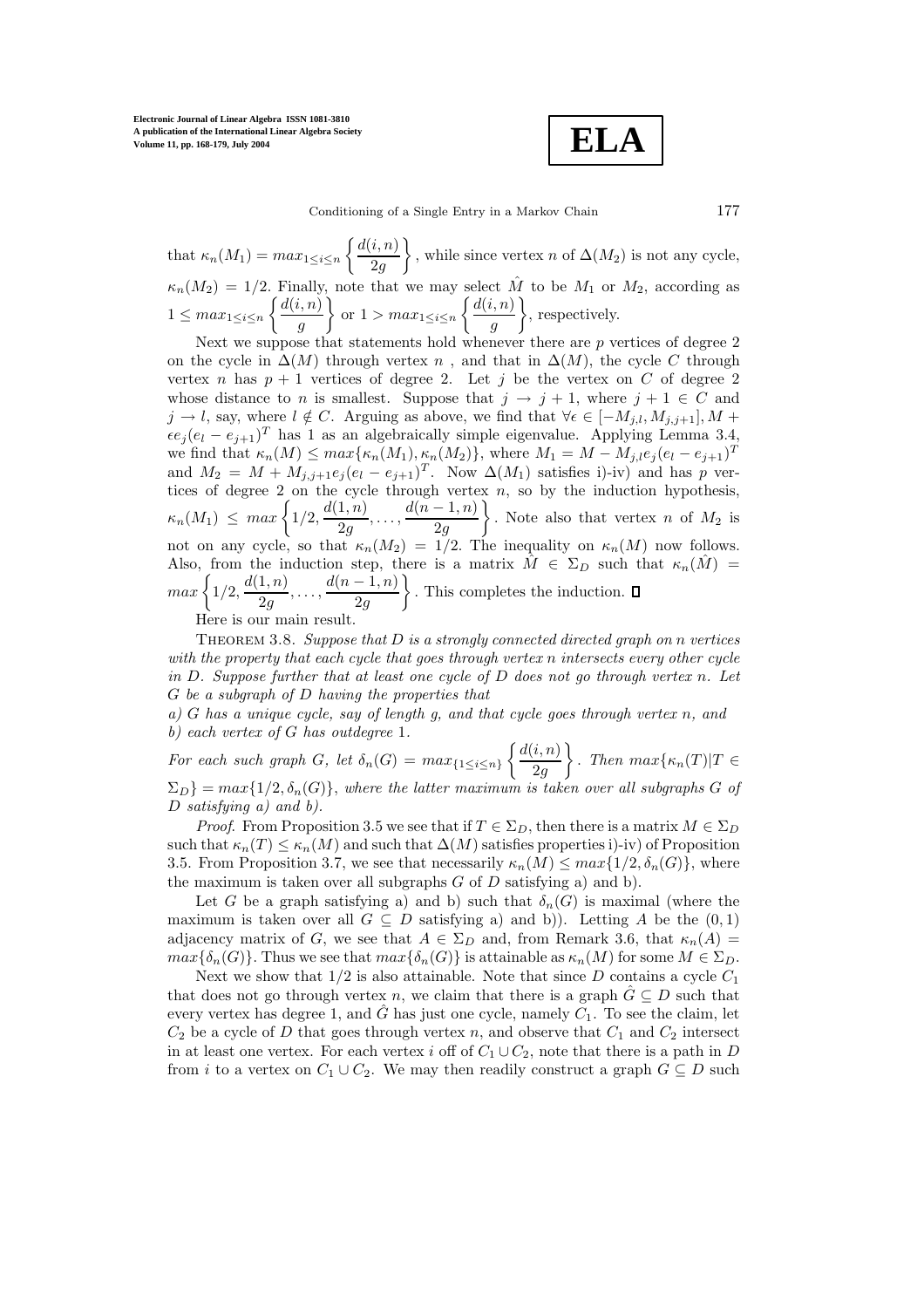**Electronic Journal of Linear Algebra ISSN 1081-3810 A publication of the International Linear Algebra Society Volume 11, pp. 168-179, July 2004**

**ELA**

that  $\kappa_n(M_1) = max_{1 \leq i \leq n} \left\{ \frac{d(i, n)}{2g} \right\}$ 2g , while since vertex n of  $\Delta(M_2)$  is not any cycle,  $\kappa_n(M_2)=1/2$ . Finally, note that we may select  $\hat{M}$  to be  $M_1$  or  $M_2$ , according as  $1 \leq max_{1 \leq i \leq n} \left\{ \frac{d(i, n)}{g} \right\}$ g  $\}$  or  $1 > max_{1 \leq i \leq n} \left\{ \frac{d(i, n)}{g} \right\}$ g , respectively.

Next we suppose that statements hold whenever there are p vertices of degree 2 on the cycle in  $\Delta(M)$  through vertex n, and that in  $\Delta(M)$ , the cycle C through vertex n has  $p + 1$  vertices of degree 2. Let j be the vertex on C of degree 2 whose distance to n is smallest. Suppose that  $j \to j + 1$ , where  $j + 1 \in C$  and  $j \to l$ , say, where  $l \notin C$ . Arguing as above, we find that  $\forall \epsilon \in [-M_{j,l}, M_{j,j+1}], M +$  $\epsilon e_j(e_l - e_{j+1})^T$  has 1 as an algebraically simple eigenvalue. Applying Lemma 3.4, we find that  $\kappa_n(M) \leq \max\{\kappa_n(M_1), \kappa_n(M_2)\}\)$ , where  $M_1 = M - M_{j,l}e_j(e_l - e_{j+1})^T$ and  $M_2 = M + M_{j,j+1}e_j(e_l - e_{j+1})^T$ . Now  $\Delta(M_1)$  satisfies i)-iv) and has p vertices of degree 2 on the cycle through vertex n, so by the induction hypothesis,  $\kappa_n(M_1) \leq max \left\{ 1/2, \frac{d(1,n)}{2g}, \ldots, \frac{d(n-1,n)}{2g} \right\}$  $\bigg\}$ . Note also that vertex *n* of  $M_2$  is not on any cycle, so that  $\kappa_n(M_2)=1/2$ . The inequality on  $\kappa_n(M)$  now follows. Also, from the induction step, there is a matrix  $\hat{M} \in \Sigma_D$  such that  $\kappa_n(\hat{M}) =$  $max\left\{1/2,\frac{d(1,n)}{2g},\ldots,\frac{d(n-1,n)}{2g}\right\}$ . This completes the induction.

Here is our main result.

Theorem 3.8. *Suppose that* D *is a strongly connected directed graph on* n *vertices with the property that each cycle that goes through vertex* n *intersects every other cycle in* D*. Suppose further that at least one cycle of* D *does not go through vertex* n*. Let* G *be a subgraph of* D *having the properties that*

*a)* G *has a unique cycle, say of length g, and that cycle goes through vertex* n*, and b) each vertex of* G *has outdegree* 1*.*

For each such graph *G*, let  $\delta_n(G) = max_{\{1 \le i \le n\}} \left\{ \frac{d(i, n)}{2g} \right\}$ 2g  $\Big\}$ . Then  $max{\kappa_n(T)|T \in$  $\Sigma_D$ } = max{1/2, $\delta_n(G)$ }, where the latter maximum is taken over all subgraphs G of D *satisfying a) and b).*

*Proof.* From Proposition 3.5 we see that if  $T \in \Sigma_D$ , then there is a matrix  $M \in \Sigma_D$ such that  $\kappa_n(T) \leq \kappa_n(M)$  and such that  $\Delta(M)$  satisfies properties i)-iv) of Proposition 3.5. From Proposition 3.7, we see that necessarily  $\kappa_n(M) \leq max\{1/2, \delta_n(G)\}\,$ , where the maximum is taken over all subgraphs  $G$  of  $D$  satisfying a) and b).

Let G be a graph satisfying a) and b) such that  $\delta_n(G)$  is maximal (where the maximum is taken over all  $G \subseteq D$  satisfying a) and b)). Letting A be the  $(0,1)$ adjacency matrix of G, we see that  $A \in \Sigma_D$  and, from Remark 3.6, that  $\kappa_n(A)$  $max{\{\delta_n(G)\}}$ . Thus we see that  $max{\{\delta_n(G)\}}$  is attainable as  $\kappa_n(M)$  for some  $M \in \Sigma_D$ .

Next we show that  $1/2$  is also attainable. Note that since D contains a cycle  $C_1$ that does not go through vertex n, we claim that there is a graph  $\hat{G} \subseteq D$  such that every vertex has degree 1, and  $\tilde{G}$  has just one cycle, namely  $C_1$ . To see the claim, let  $C_2$  be a cycle of D that goes through vertex n, and observe that  $C_1$  and  $C_2$  intersect in at least one vertex. For each vertex i off of  $C_1 \cup C_2$ , note that there is a path in D from *i* to a vertex on  $C_1 \cup C_2$ . We may then readily construct a graph  $G \subseteq D$  such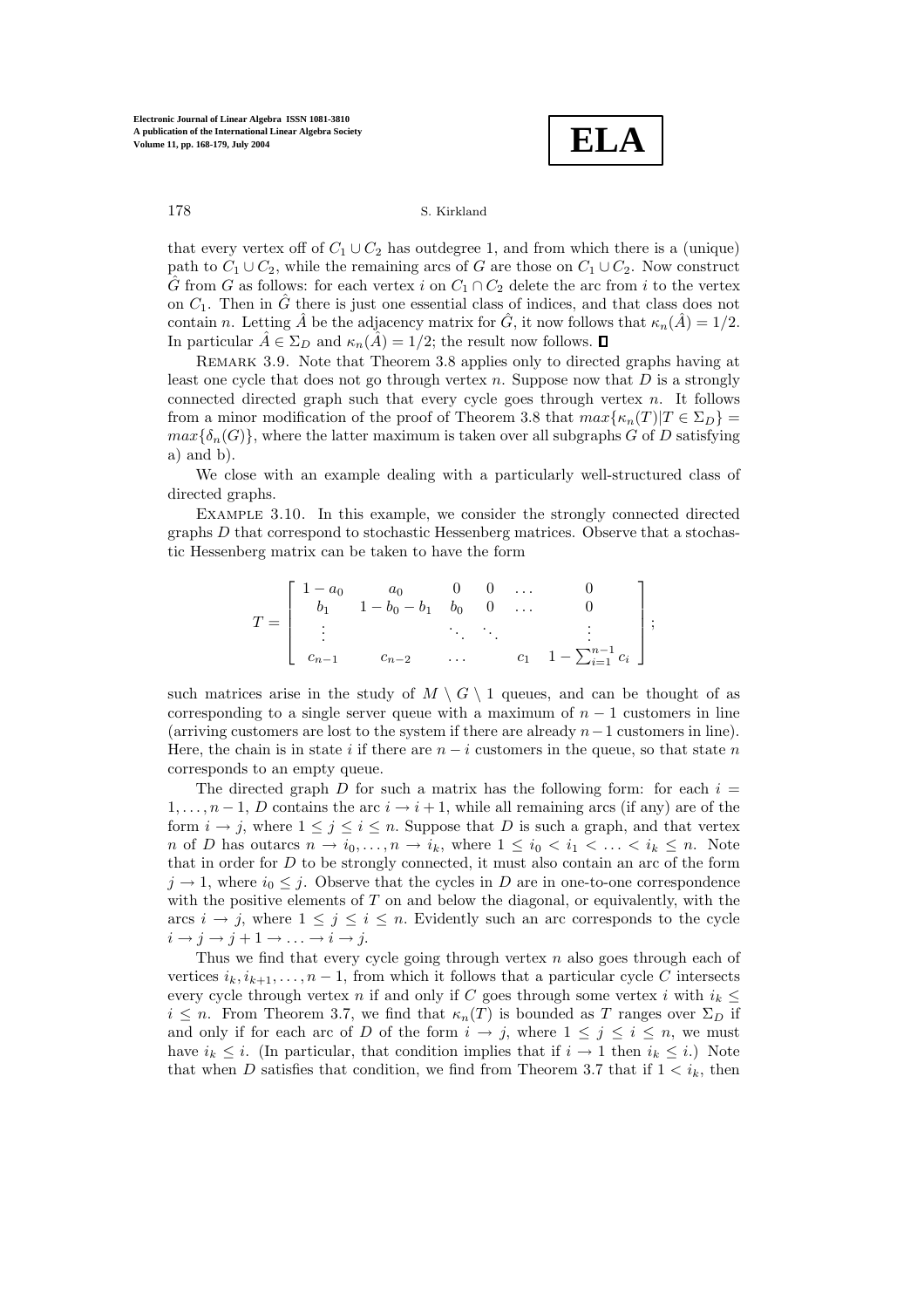**ELA**

that every vertex off of  $C_1 \cup C_2$  has outdegree 1, and from which there is a (unique) path to  $C_1 \cup C_2$ , while the remaining arcs of G are those on  $C_1 \cup C_2$ . Now construct  $\hat{G}$  from G as follows: for each vertex i on  $C_1 \cap C_2$  delete the arc from i to the vertex on  $C_1$ . Then in  $\hat{G}$  there is just one essential class of indices, and that class does not contain n. Letting  $\hat{A}$  be the adjacency matrix for  $\hat{G}$ , it now follows that  $\kappa_n(\hat{A})=1/2$ . In particular  $\hat{A} \in \Sigma_D$  and  $\kappa_n(\hat{A})=1/2$ ; the result now follows.  $\Box$ 

Remark 3.9. Note that Theorem 3.8 applies only to directed graphs having at least one cycle that does not go through vertex  $n$ . Suppose now that  $D$  is a strongly connected directed graph such that every cycle goes through vertex  $n$ . It follows from a minor modification of the proof of Theorem 3.8 that  $max{\kappa_n(T)|T \in \Sigma_D}$  =  $max{\delta_n(G)}$ , where the latter maximum is taken over all subgraphs G of D satisfying  $a)$  and  $b)$ .

We close with an example dealing with a particularly well-structured class of directed graphs.

Example 3.10. In this example, we consider the strongly connected directed graphs D that correspond to stochastic Hessenberg matrices. Observe that a stochastic Hessenberg matrix can be taken to have the form

$$
T = \begin{bmatrix} 1 - a_0 & a_0 & 0 & 0 & \dots & 0 \\ b_1 & 1 - b_0 - b_1 & b_0 & 0 & \dots & 0 \\ \vdots & & & \ddots & \ddots & \vdots \\ c_{n-1} & c_{n-2} & \dots & c_1 & 1 - \sum_{i=1}^{n-1} c_i \end{bmatrix};
$$

such matrices arise in the study of  $M \setminus G \setminus 1$  queues, and can be thought of as corresponding to a single server queue with a maximum of  $n - 1$  customers in line (arriving customers are lost to the system if there are already  $n-1$  customers in line). Here, the chain is in state i if there are  $n - i$  customers in the queue, so that state n corresponds to an empty queue.

The directed graph D for such a matrix has the following form: for each  $i =$  $1,\ldots,n-1, D$  contains the arc  $i \rightarrow i+1$ , while all remaining arcs (if any) are of the form  $i \to j$ , where  $1 \leq j \leq i \leq n$ . Suppose that D is such a graph, and that vertex n of D has outarcs  $n \to i_0, \ldots, n \to i_k$ , where  $1 \leq i_0 < i_1 < \ldots < i_k \leq n$ . Note that in order for  $D$  to be strongly connected, it must also contain an arc of the form  $j \rightarrow 1$ , where  $i_0 \leq j$ . Observe that the cycles in D are in one-to-one correspondence with the positive elements of T on and below the diagonal, or equivalently, with the arcs  $i \rightarrow j$ , where  $1 \leq j \leq i \leq n$ . Evidently such an arc corresponds to the cycle  $i \rightarrow j \rightarrow j+1 \rightarrow \ldots \rightarrow i \rightarrow j.$ 

Thus we find that every cycle going through vertex  $n$  also goes through each of vertices  $i_k, i_{k+1}, \ldots, n-1$ , from which it follows that a particular cycle C intersects every cycle through vertex n if and only if C goes through some vertex i with  $i_k \leq$  $i \leq n$ . From Theorem 3.7, we find that  $\kappa_n(T)$  is bounded as T ranges over  $\Sigma_D$  if and only if for each arc of D of the form  $i \to j$ , where  $1 \leq j \leq i \leq n$ , we must have  $i_k \leq i$ . (In particular, that condition implies that if  $i \to 1$  then  $i_k \leq i$ .) Note that when D satisfies that condition, we find from Theorem 3.7 that if  $1 \lt i_k$ , then